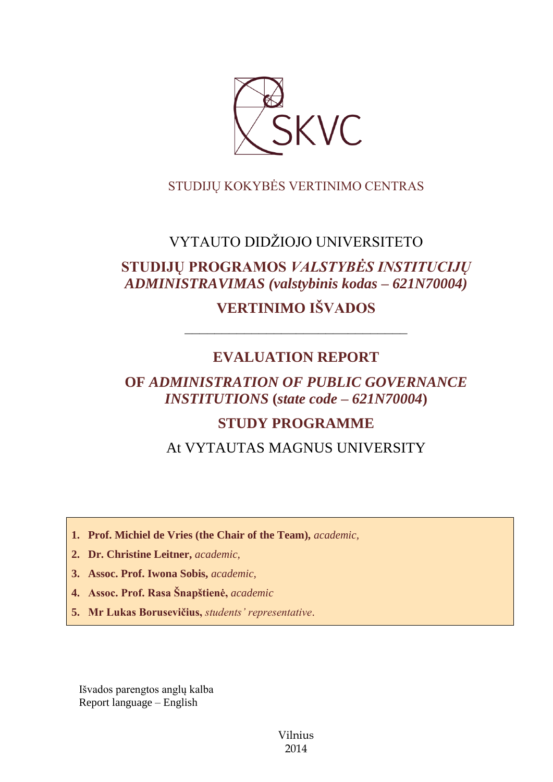

# STUDIJŲ KOKYBĖS VERTINIMO CENTRAS

# VYTAUTO DIDŽIOJO UNIVERSITETO

# **STUDIJŲ PROGRAMOS** *VALSTYBĖS INSTITUCIJŲ ADMINISTRAVIMAS (valstybinis kodas – 621N70004)*

# **VERTINIMO IŠVADOS**

# **EVALUATION REPORT**

––––––––––––––––––––––––––––––

# **OF** *ADMINISTRATION OF PUBLIC GOVERNANCE INSTITUTIONS* **(***state code – 621N70004***)**

# **STUDY PROGRAMME**

At VYTAUTAS MAGNUS UNIVERSITY

**1. Prof. Michiel de Vries (the Chair of the Team),** *academic,*

- **2. Dr. Christine Leitner,** *academic,*
- **3. Assoc. Prof. Iwona Sobis,** *academic,*
- **4. Assoc. Prof. Rasa Šnapštienė,** *academic*
- **5. Mr Lukas Borusevičius,** *students' representative*.

Išvados parengtos anglų kalba Report language – English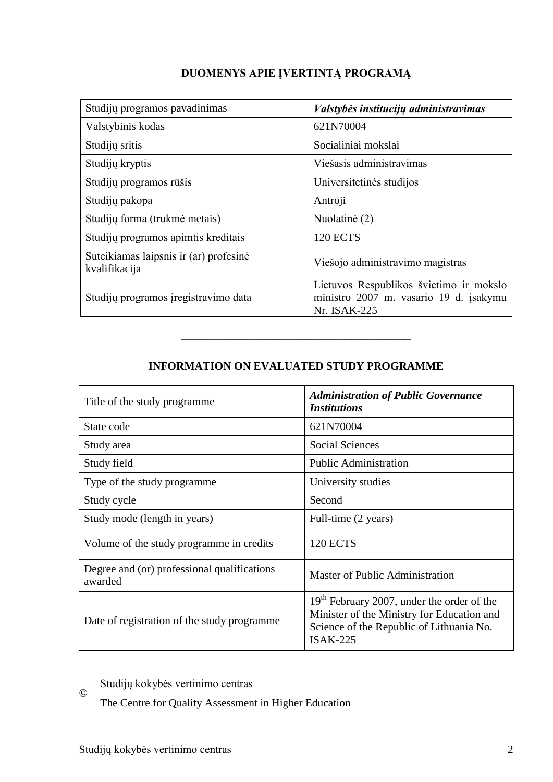| Studijų programos pavadinimas                           | Valstybės institucijų administravimas                                                             |
|---------------------------------------------------------|---------------------------------------------------------------------------------------------------|
| Valstybinis kodas                                       | 621N70004                                                                                         |
| Studijų sritis                                          | Socialiniai mokslai                                                                               |
| Studijų kryptis                                         | Viešasis administravimas                                                                          |
| Studijų programos rūšis                                 | Universitetinės studijos                                                                          |
| Studijų pakopa                                          | Antroji                                                                                           |
| Studijų forma (trukmė metais)                           | Nuolatinė (2)                                                                                     |
| Studijų programos apimtis kreditais                     | <b>120 ECTS</b>                                                                                   |
| Suteikiamas laipsnis ir (ar) profesinė<br>kvalifikacija | Viešojo administravimo magistras                                                                  |
| Studijų programos įregistravimo data                    | Lietuvos Respublikos švietimo ir mokslo<br>ministro 2007 m. vasario 19 d. įsakymu<br>Nr. ISAK-225 |

## **DUOMENYS APIE ĮVERTINTĄ PROGRAMĄ**

### **INFORMATION ON EVALUATED STUDY PROGRAMME**

–––––––––––––––––––––––––––––––

| Title of the study programme.                          | <b>Administration of Public Governance</b><br><b>Institutions</b>                                                                                              |  |  |
|--------------------------------------------------------|----------------------------------------------------------------------------------------------------------------------------------------------------------------|--|--|
| State code                                             | 621N70004                                                                                                                                                      |  |  |
| Study area                                             | <b>Social Sciences</b>                                                                                                                                         |  |  |
| Study field                                            | <b>Public Administration</b>                                                                                                                                   |  |  |
| Type of the study programme                            | University studies                                                                                                                                             |  |  |
| Study cycle                                            | Second                                                                                                                                                         |  |  |
| Study mode (length in years)                           | Full-time (2 years)                                                                                                                                            |  |  |
| Volume of the study programme in credits               | 120 ECTS                                                                                                                                                       |  |  |
| Degree and (or) professional qualifications<br>awarded | Master of Public Administration                                                                                                                                |  |  |
| Date of registration of the study programme            | 19 <sup>th</sup> February 2007, under the order of the<br>Minister of the Ministry for Education and<br>Science of the Republic of Lithuania No.<br>$ISAK-225$ |  |  |

© Studijų kokybės vertinimo centras

The Centre for Quality Assessment in Higher Education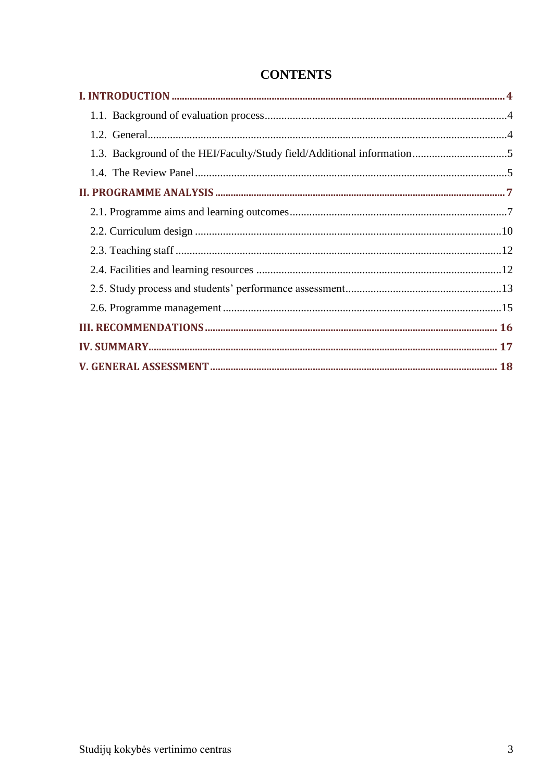| 1.3. Background of the HEI/Faculty/Study field/Additional information5 |  |
|------------------------------------------------------------------------|--|
|                                                                        |  |
|                                                                        |  |
|                                                                        |  |
|                                                                        |  |
|                                                                        |  |
|                                                                        |  |
|                                                                        |  |
|                                                                        |  |
|                                                                        |  |
|                                                                        |  |
|                                                                        |  |

# **CONTENTS**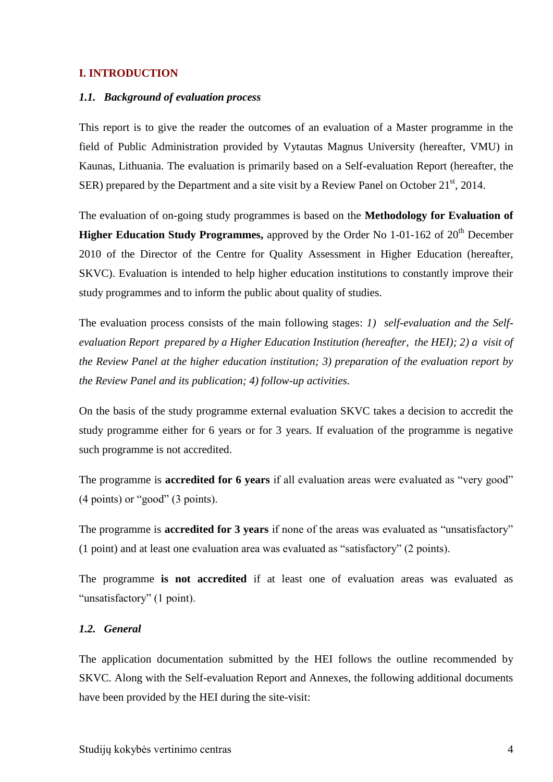#### <span id="page-3-1"></span><span id="page-3-0"></span>**I. INTRODUCTION**

#### *1.1. Background of evaluation process*

This report is to give the reader the outcomes of an evaluation of a Master programme in the field of Public Administration provided by Vytautas Magnus University (hereafter, VMU) in Kaunas, Lithuania. The evaluation is primarily based on a Self-evaluation Report (hereafter, the SER) prepared by the Department and a site visit by a Review Panel on October  $21<sup>st</sup>$ , 2014.

The evaluation of on-going study programmes is based on the **Methodology for Evaluation of Higher Education Study Programmes,** approved by the Order No 1-01-162 of 20<sup>th</sup> December 2010 of the Director of the Centre for Quality Assessment in Higher Education (hereafter, SKVC). Evaluation is intended to help higher education institutions to constantly improve their study programmes and to inform the public about quality of studies.

The evaluation process consists of the main following stages: *1) self-evaluation and the Selfevaluation Report prepared by a Higher Education Institution (hereafter, the HEI); 2) a visit of the Review Panel at the higher education institution; 3) preparation of the evaluation report by the Review Panel and its publication; 4) follow-up activities.* 

On the basis of the study programme external evaluation SKVC takes a decision to accredit the study programme either for 6 years or for 3 years. If evaluation of the programme is negative such programme is not accredited.

The programme is **accredited for 6 years** if all evaluation areas were evaluated as "very good" (4 points) or "good" (3 points).

The programme is **accredited for 3 years** if none of the areas was evaluated as "unsatisfactory" (1 point) and at least one evaluation area was evaluated as "satisfactory" (2 points).

The programme **is not accredited** if at least one of evaluation areas was evaluated as "unsatisfactory" (1 point).

#### <span id="page-3-2"></span>*1.2. General*

The application documentation submitted by the HEI follows the outline recommended by SKVC. Along with the Self-evaluation Report and Annexes, the following additional documents have been provided by the HEI during the site-visit: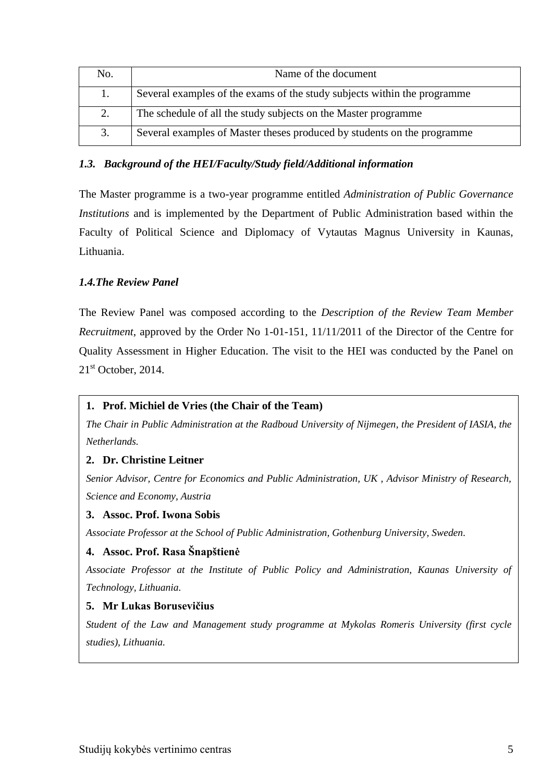| No. | Name of the document                                                     |
|-----|--------------------------------------------------------------------------|
| 1.  | Several examples of the exams of the study subjects within the programme |
| 2.  | The schedule of all the study subjects on the Master programme           |
| 3.  | Several examples of Master theses produced by students on the programme  |

### <span id="page-4-0"></span>*1.3. Background of the HEI/Faculty/Study field/Additional information*

The Master programme is a two-year programme entitled *Administration of Public Governance Institutions* and is implemented by the Department of Public Administration based within the Faculty of Political Science and Diplomacy of Vytautas Magnus University in Kaunas, Lithuania.

### <span id="page-4-1"></span>*1.4.The Review Panel*

The Review Panel was composed according to the *Description of the Review Team Member Recruitment*, approved by the Order No 1-01-151, 11/11/2011 of the Director of the Centre for Quality Assessment in Higher Education. The visit to the HEI was conducted by the Panel on  $21<sup>st</sup>$  October, 2014.

#### **1. Prof. Michiel de Vries (the Chair of the Team)**

*The Chair in Public Administration at the Radboud University of Nijmegen, the President of IASIA, the Netherlands.* 

### **2. Dr. Christine Leitner**

*Senior Advisor, Centre for Economics and Public Administration, UK , Advisor Ministry of Research, Science and Economy, Austria* 

#### **3. Assoc. Prof. Iwona Sobis**

*Associate Professor at the School of Public Administration, Gothenburg University, Sweden.*

#### **4. Assoc. Prof. Rasa Šnapštienė**

*Associate Professor at the Institute of Public Policy and Administration, Kaunas University of Technology, Lithuania.*

#### **5. Mr Lukas Borusevičius**

*Student of the Law and Management study programme at Mykolas Romeris University (first cycle studies), Lithuania.*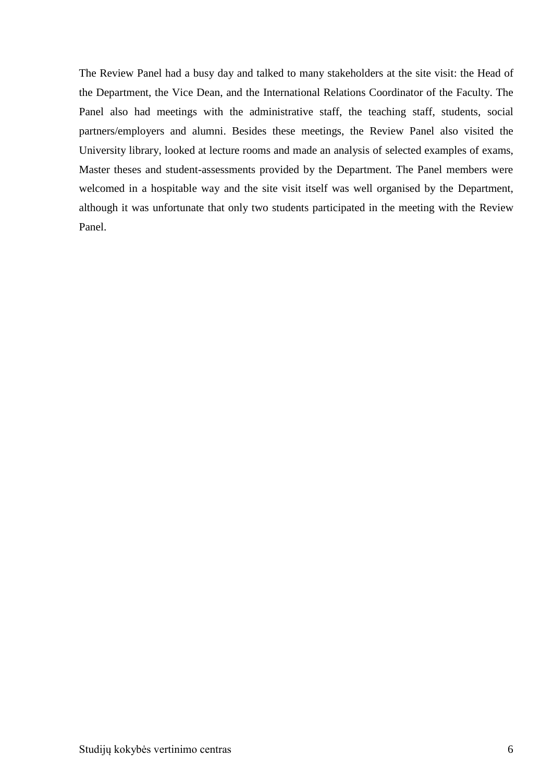The Review Panel had a busy day and talked to many stakeholders at the site visit: the Head of the Department, the Vice Dean, and the International Relations Coordinator of the Faculty. The Panel also had meetings with the administrative staff, the teaching staff, students, social partners/employers and alumni. Besides these meetings, the Review Panel also visited the University library, looked at lecture rooms and made an analysis of selected examples of exams, Master theses and student-assessments provided by the Department. The Panel members were welcomed in a hospitable way and the site visit itself was well organised by the Department, although it was unfortunate that only two students participated in the meeting with the Review Panel.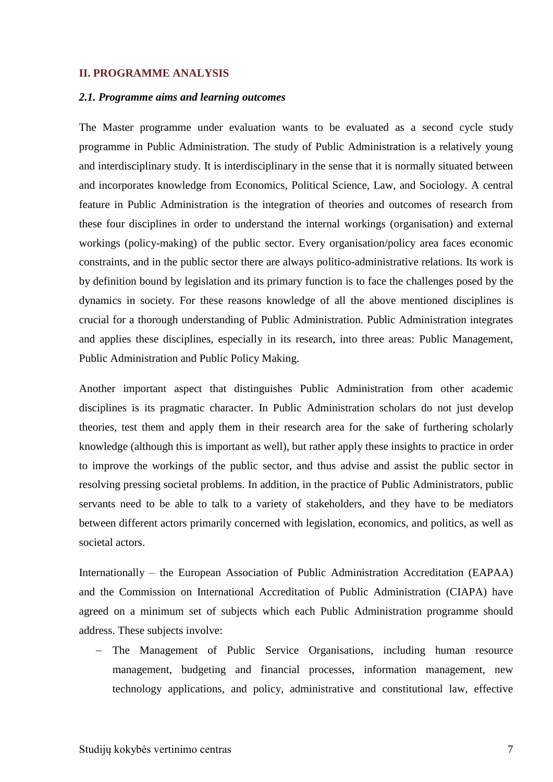#### <span id="page-6-1"></span><span id="page-6-0"></span>**II. PROGRAMME ANALYSIS**

#### *2.1. Programme aims and learning outcomes*

The Master programme under evaluation wants to be evaluated as a second cycle study programme in Public Administration. The study of Public Administration is a relatively young and interdisciplinary study. It is interdisciplinary in the sense that it is normally situated between and incorporates knowledge from Economics, Political Science, Law, and Sociology. A central feature in Public Administration is the integration of theories and outcomes of research from these four disciplines in order to understand the internal workings (organisation) and external workings (policy-making) of the public sector. Every organisation/policy area faces economic constraints, and in the public sector there are always politico-administrative relations. Its work is by definition bound by legislation and its primary function is to face the challenges posed by the dynamics in society. For these reasons knowledge of all the above mentioned disciplines is crucial for a thorough understanding of Public Administration. Public Administration integrates and applies these disciplines, especially in its research, into three areas: Public Management, Public Administration and Public Policy Making.

Another important aspect that distinguishes Public Administration from other academic disciplines is its pragmatic character. In Public Administration scholars do not just develop theories, test them and apply them in their research area for the sake of furthering scholarly knowledge (although this is important as well), but rather apply these insights to practice in order to improve the workings of the public sector, and thus advise and assist the public sector in resolving pressing societal problems. In addition, in the practice of Public Administrators, public servants need to be able to talk to a variety of stakeholders, and they have to be mediators between different actors primarily concerned with legislation, economics, and politics, as well as societal actors.

Internationally – the European Association of Public Administration Accreditation (EAPAA) and the Commission on International Accreditation of Public Administration (CIAPA) have agreed on a minimum set of subjects which each Public Administration programme should address. These subjects involve:

 The Management of Public Service Organisations, including human resource management, budgeting and financial processes, information management, new technology applications, and policy, administrative and constitutional law, effective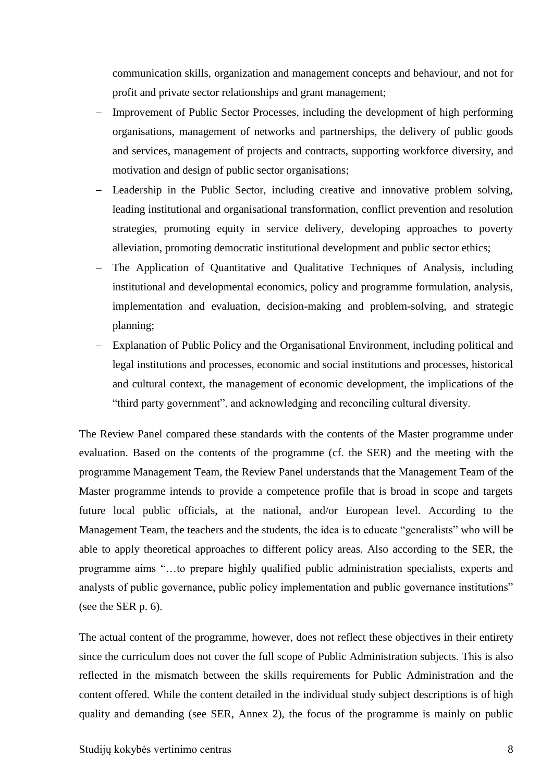communication skills, organization and management concepts and behaviour, and not for profit and private sector relationships and grant management;

- Improvement of Public Sector Processes, including the development of high performing organisations, management of networks and partnerships, the delivery of public goods and services, management of projects and contracts, supporting workforce diversity, and motivation and design of public sector organisations;
- Leadership in the Public Sector, including creative and innovative problem solving, leading institutional and organisational transformation, conflict prevention and resolution strategies, promoting equity in service delivery, developing approaches to poverty alleviation, promoting democratic institutional development and public sector ethics;
- The Application of Quantitative and Qualitative Techniques of Analysis, including institutional and developmental economics, policy and programme formulation, analysis, implementation and evaluation, decision-making and problem-solving, and strategic planning;
- Explanation of Public Policy and the Organisational Environment, including political and legal institutions and processes, economic and social institutions and processes, historical and cultural context, the management of economic development, the implications of the "third party government", and acknowledging and reconciling cultural diversity.

The Review Panel compared these standards with the contents of the Master programme under evaluation. Based on the contents of the programme (cf. the SER) and the meeting with the programme Management Team, the Review Panel understands that the Management Team of the Master programme intends to provide a competence profile that is broad in scope and targets future local public officials, at the national, and/or European level. According to the Management Team, the teachers and the students, the idea is to educate "generalists" who will be able to apply theoretical approaches to different policy areas. Also according to the SER, the programme aims "…to prepare highly qualified public administration specialists, experts and analysts of public governance, public policy implementation and public governance institutions" (see the SER p. 6).

The actual content of the programme, however, does not reflect these objectives in their entirety since the curriculum does not cover the full scope of Public Administration subjects. This is also reflected in the mismatch between the skills requirements for Public Administration and the content offered. While the content detailed in the individual study subject descriptions is of high quality and demanding (see SER, Annex 2), the focus of the programme is mainly on public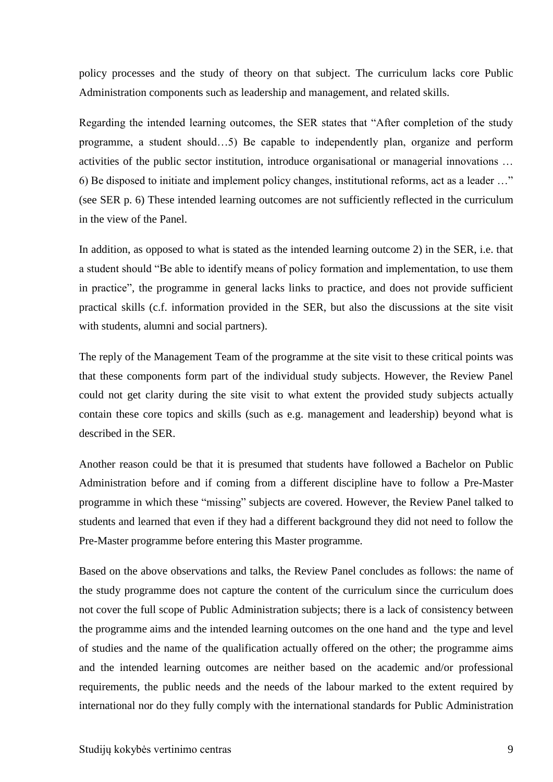policy processes and the study of theory on that subject. The curriculum lacks core Public Administration components such as leadership and management, and related skills.

Regarding the intended learning outcomes, the SER states that "After completion of the study programme, a student should…5) Be capable to independently plan, organize and perform activities of the public sector institution, introduce organisational or managerial innovations … 6) Be disposed to initiate and implement policy changes, institutional reforms, act as a leader …" (see SER p. 6) These intended learning outcomes are not sufficiently reflected in the curriculum in the view of the Panel.

In addition, as opposed to what is stated as the intended learning outcome 2) in the SER, i.e. that a student should "Be able to identify means of policy formation and implementation, to use them in practice", the programme in general lacks links to practice, and does not provide sufficient practical skills (c.f. information provided in the SER, but also the discussions at the site visit with students, alumni and social partners).

The reply of the Management Team of the programme at the site visit to these critical points was that these components form part of the individual study subjects. However, the Review Panel could not get clarity during the site visit to what extent the provided study subjects actually contain these core topics and skills (such as e.g. management and leadership) beyond what is described in the SER.

Another reason could be that it is presumed that students have followed a Bachelor on Public Administration before and if coming from a different discipline have to follow a Pre-Master programme in which these "missing" subjects are covered. However, the Review Panel talked to students and learned that even if they had a different background they did not need to follow the Pre-Master programme before entering this Master programme.

Based on the above observations and talks, the Review Panel concludes as follows: the name of the study programme does not capture the content of the curriculum since the curriculum does not cover the full scope of Public Administration subjects; there is a lack of consistency between the programme aims and the intended learning outcomes on the one hand and the type and level of studies and the name of the qualification actually offered on the other; the programme aims and the intended learning outcomes are neither based on the academic and/or professional requirements, the public needs and the needs of the labour marked to the extent required by international nor do they fully comply with the international standards for Public Administration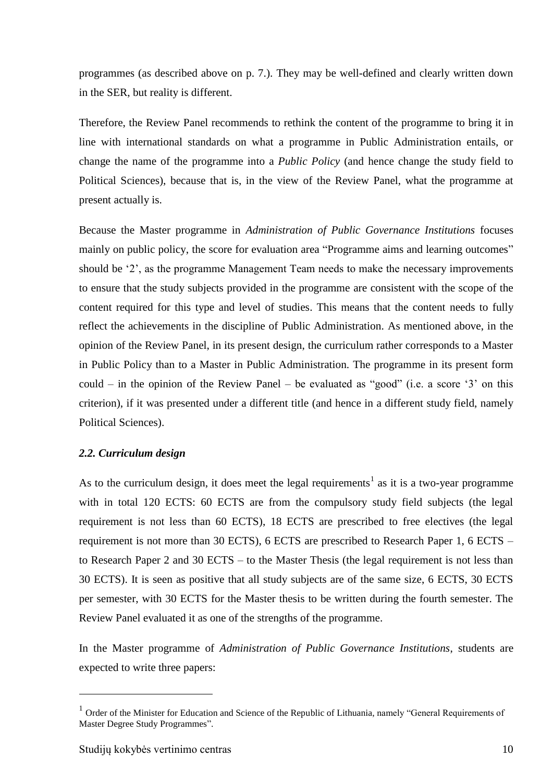programmes (as described above on p. 7.). They may be well-defined and clearly written down in the SER, but reality is different.

Therefore, the Review Panel recommends to rethink the content of the programme to bring it in line with international standards on what a programme in Public Administration entails, or change the name of the programme into a *Public Policy* (and hence change the study field to Political Sciences), because that is, in the view of the Review Panel, what the programme at present actually is.

Because the Master programme in *Administration of Public Governance Institutions* focuses mainly on public policy, the score for evaluation area "Programme aims and learning outcomes" should be '2', as the programme Management Team needs to make the necessary improvements to ensure that the study subjects provided in the programme are consistent with the scope of the content required for this type and level of studies. This means that the content needs to fully reflect the achievements in the discipline of Public Administration. As mentioned above, in the opinion of the Review Panel, in its present design, the curriculum rather corresponds to a Master in Public Policy than to a Master in Public Administration. The programme in its present form could – in the opinion of the Review Panel – be evaluated as "good" (i.e. a score  $3'$  on this criterion), if it was presented under a different title (and hence in a different study field, namely Political Sciences).

#### <span id="page-9-0"></span>*2.2. Curriculum design*

As to the curriculum design, it does meet the legal requirements<sup>1</sup> as it is a two-year programme with in total 120 ECTS: 60 ECTS are from the compulsory study field subjects (the legal requirement is not less than 60 ECTS), 18 ECTS are prescribed to free electives (the legal requirement is not more than 30 ECTS), 6 ECTS are prescribed to Research Paper 1, 6 ECTS – to Research Paper 2 and 30 ECTS – to the Master Thesis (the legal requirement is not less than 30 ECTS). It is seen as positive that all study subjects are of the same size, 6 ECTS, 30 ECTS per semester, with 30 ECTS for the Master thesis to be written during the fourth semester. The Review Panel evaluated it as one of the strengths of the programme.

In the Master programme of *Administration of Public Governance Institutions*, students are expected to write three papers:

1

<sup>&</sup>lt;sup>1</sup> Order of the Minister for Education and Science of the Republic of Lithuania, namely "General Requirements of Master Degree Study Programmes".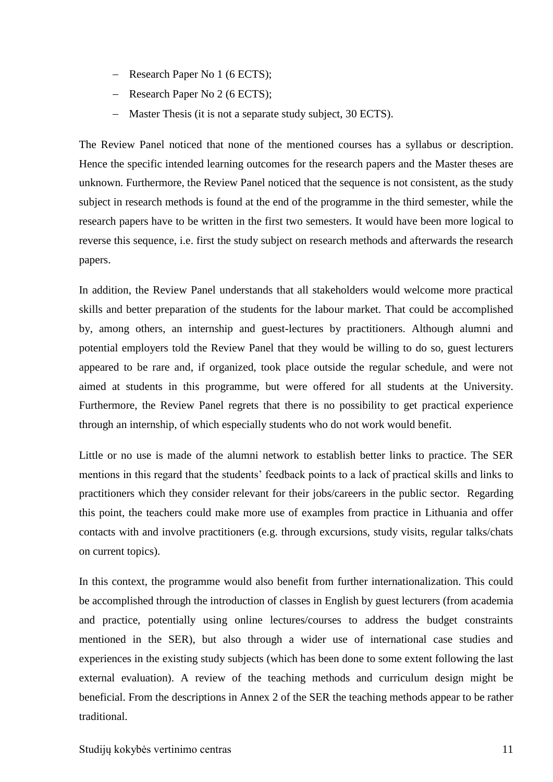- Research Paper No 1 (6 ECTS);
- Research Paper No 2 (6 ECTS);
- Master Thesis (it is not a separate study subject, 30 ECTS).

The Review Panel noticed that none of the mentioned courses has a syllabus or description. Hence the specific intended learning outcomes for the research papers and the Master theses are unknown. Furthermore, the Review Panel noticed that the sequence is not consistent, as the study subject in research methods is found at the end of the programme in the third semester, while the research papers have to be written in the first two semesters. It would have been more logical to reverse this sequence, i.e. first the study subject on research methods and afterwards the research papers.

In addition, the Review Panel understands that all stakeholders would welcome more practical skills and better preparation of the students for the labour market. That could be accomplished by, among others, an internship and guest-lectures by practitioners. Although alumni and potential employers told the Review Panel that they would be willing to do so, guest lecturers appeared to be rare and, if organized, took place outside the regular schedule, and were not aimed at students in this programme, but were offered for all students at the University. Furthermore, the Review Panel regrets that there is no possibility to get practical experience through an internship, of which especially students who do not work would benefit.

Little or no use is made of the alumni network to establish better links to practice. The SER mentions in this regard that the students' feedback points to a lack of practical skills and links to practitioners which they consider relevant for their jobs/careers in the public sector. Regarding this point, the teachers could make more use of examples from practice in Lithuania and offer contacts with and involve practitioners (e.g. through excursions, study visits, regular talks/chats on current topics).

In this context, the programme would also benefit from further internationalization. This could be accomplished through the introduction of classes in English by guest lecturers (from academia and practice, potentially using online lectures/courses to address the budget constraints mentioned in the SER), but also through a wider use of international case studies and experiences in the existing study subjects (which has been done to some extent following the last external evaluation). A review of the teaching methods and curriculum design might be beneficial. From the descriptions in Annex 2 of the SER the teaching methods appear to be rather traditional.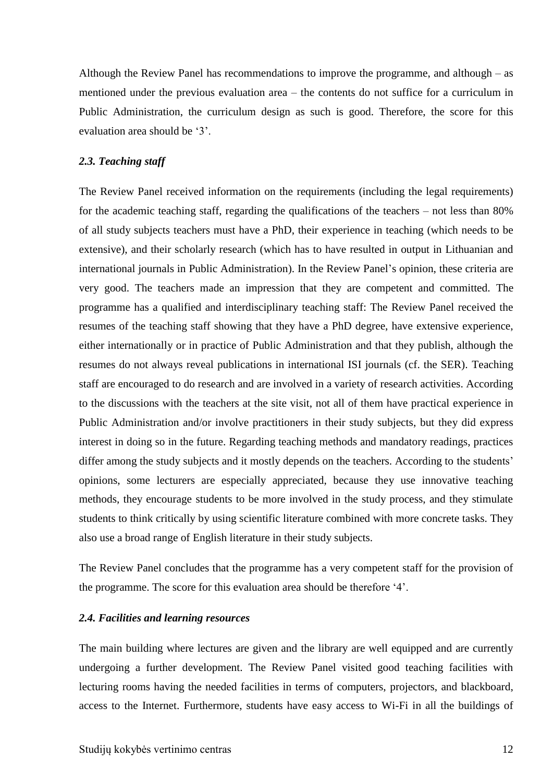Although the Review Panel has recommendations to improve the programme, and although – as mentioned under the previous evaluation area – the contents do not suffice for a curriculum in Public Administration, the curriculum design as such is good. Therefore, the score for this evaluation area should be '3'.

#### <span id="page-11-0"></span>*2.3. Teaching staff*

The Review Panel received information on the requirements (including the legal requirements) for the academic teaching staff, regarding the qualifications of the teachers – not less than 80% of all study subjects teachers must have a PhD, their experience in teaching (which needs to be extensive), and their scholarly research (which has to have resulted in output in Lithuanian and international journals in Public Administration). In the Review Panel's opinion, these criteria are very good. The teachers made an impression that they are competent and committed. The programme has a qualified and interdisciplinary teaching staff: The Review Panel received the resumes of the teaching staff showing that they have a PhD degree, have extensive experience, either internationally or in practice of Public Administration and that they publish, although the resumes do not always reveal publications in international ISI journals (cf. the SER). Teaching staff are encouraged to do research and are involved in a variety of research activities. According to the discussions with the teachers at the site visit, not all of them have practical experience in Public Administration and/or involve practitioners in their study subjects, but they did express interest in doing so in the future. Regarding teaching methods and mandatory readings, practices differ among the study subjects and it mostly depends on the teachers. According to the students' opinions, some lecturers are especially appreciated, because they use innovative teaching methods, they encourage students to be more involved in the study process, and they stimulate students to think critically by using scientific literature combined with more concrete tasks. They also use a broad range of English literature in their study subjects.

The Review Panel concludes that the programme has a very competent staff for the provision of the programme. The score for this evaluation area should be therefore '4'.

#### <span id="page-11-1"></span>*2.4. Facilities and learning resources*

The main building where lectures are given and the library are well equipped and are currently undergoing a further development. The Review Panel visited good teaching facilities with lecturing rooms having the needed facilities in terms of computers, projectors, and blackboard, access to the Internet. Furthermore, students have easy access to Wi-Fi in all the buildings of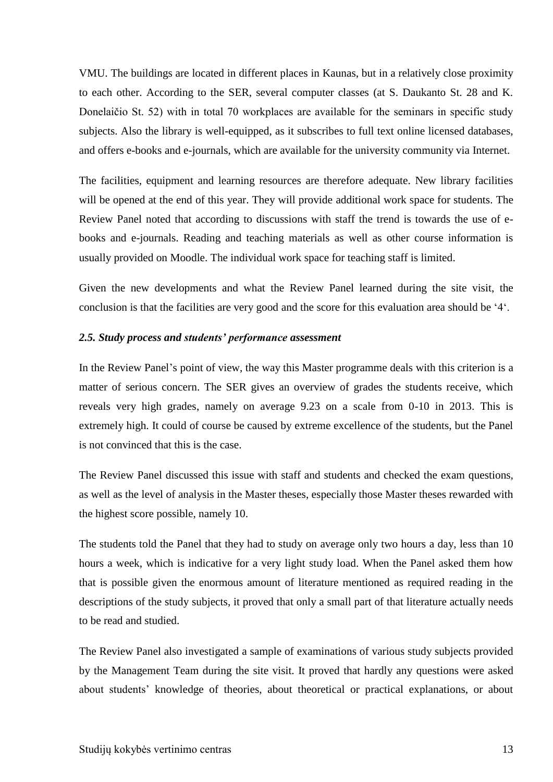VMU. The buildings are located in different places in Kaunas, but in a relatively close proximity to each other. According to the SER, several computer classes (at S. Daukanto St. 28 and K. Donelaičio St. 52) with in total 70 workplaces are available for the seminars in specific study subjects. Also the library is well-equipped, as it subscribes to full text online licensed databases, and offers e-books and e-journals, which are available for the university community via Internet.

The facilities, equipment and learning resources are therefore adequate. New library facilities will be opened at the end of this year. They will provide additional work space for students. The Review Panel noted that according to discussions with staff the trend is towards the use of ebooks and e-journals. Reading and teaching materials as well as other course information is usually provided on Moodle. The individual work space for teaching staff is limited.

Given the new developments and what the Review Panel learned during the site visit, the conclusion is that the facilities are very good and the score for this evaluation area should be '4'.

#### <span id="page-12-0"></span>*2.5. Study process and students' performance assessment*

In the Review Panel's point of view, the way this Master programme deals with this criterion is a matter of serious concern. The SER gives an overview of grades the students receive, which reveals very high grades, namely on average 9.23 on a scale from 0-10 in 2013. This is extremely high. It could of course be caused by extreme excellence of the students, but the Panel is not convinced that this is the case.

The Review Panel discussed this issue with staff and students and checked the exam questions, as well as the level of analysis in the Master theses, especially those Master theses rewarded with the highest score possible, namely 10.

The students told the Panel that they had to study on average only two hours a day, less than 10 hours a week, which is indicative for a very light study load. When the Panel asked them how that is possible given the enormous amount of literature mentioned as required reading in the descriptions of the study subjects, it proved that only a small part of that literature actually needs to be read and studied.

The Review Panel also investigated a sample of examinations of various study subjects provided by the Management Team during the site visit. It proved that hardly any questions were asked about students' knowledge of theories, about theoretical or practical explanations, or about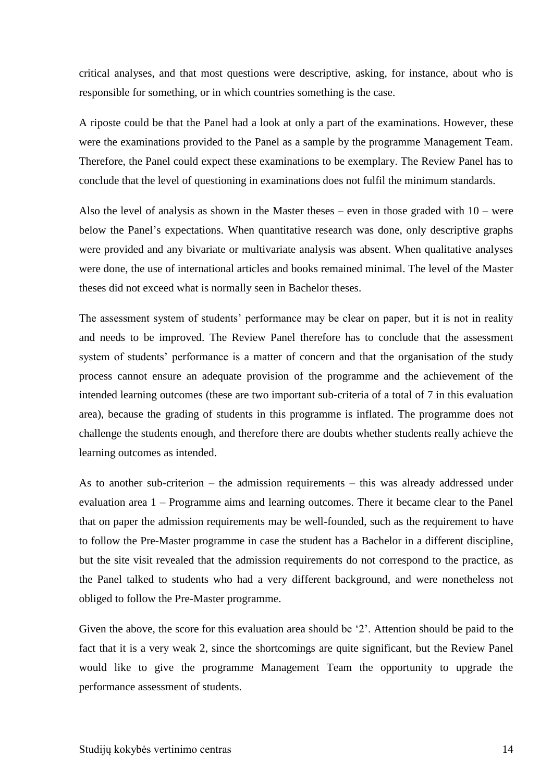critical analyses, and that most questions were descriptive, asking, for instance, about who is responsible for something, or in which countries something is the case.

A riposte could be that the Panel had a look at only a part of the examinations. However, these were the examinations provided to the Panel as a sample by the programme Management Team. Therefore, the Panel could expect these examinations to be exemplary. The Review Panel has to conclude that the level of questioning in examinations does not fulfil the minimum standards.

Also the level of analysis as shown in the Master theses – even in those graded with  $10$  – were below the Panel's expectations. When quantitative research was done, only descriptive graphs were provided and any bivariate or multivariate analysis was absent. When qualitative analyses were done, the use of international articles and books remained minimal. The level of the Master theses did not exceed what is normally seen in Bachelor theses.

The assessment system of students' performance may be clear on paper, but it is not in reality and needs to be improved. The Review Panel therefore has to conclude that the assessment system of students' performance is a matter of concern and that the organisation of the study process cannot ensure an adequate provision of the programme and the achievement of the intended learning outcomes (these are two important sub-criteria of a total of 7 in this evaluation area), because the grading of students in this programme is inflated. The programme does not challenge the students enough, and therefore there are doubts whether students really achieve the learning outcomes as intended.

As to another sub-criterion – the admission requirements – this was already addressed under evaluation area 1 – Programme aims and learning outcomes. There it became clear to the Panel that on paper the admission requirements may be well-founded, such as the requirement to have to follow the Pre-Master programme in case the student has a Bachelor in a different discipline*,* but the site visit revealed that the admission requirements do not correspond to the practice, as the Panel talked to students who had a very different background, and were nonetheless not obliged to follow the Pre-Master programme.

Given the above, the score for this evaluation area should be '2'. Attention should be paid to the fact that it is a very weak 2, since the shortcomings are quite significant, but the Review Panel would like to give the programme Management Team the opportunity to upgrade the performance assessment of students.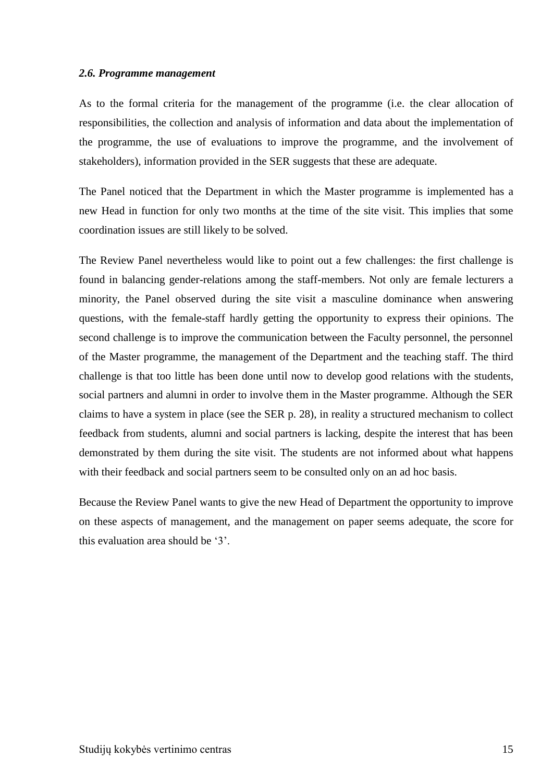#### <span id="page-14-0"></span>*2.6. Programme management*

As to the formal criteria for the management of the programme (i.e. the clear allocation of responsibilities, the collection and analysis of information and data about the implementation of the programme, the use of evaluations to improve the programme, and the involvement of stakeholders), information provided in the SER suggests that these are adequate.

The Panel noticed that the Department in which the Master programme is implemented has a new Head in function for only two months at the time of the site visit. This implies that some coordination issues are still likely to be solved.

The Review Panel nevertheless would like to point out a few challenges: the first challenge is found in balancing gender-relations among the staff-members. Not only are female lecturers a minority, the Panel observed during the site visit a masculine dominance when answering questions, with the female-staff hardly getting the opportunity to express their opinions. The second challenge is to improve the communication between the Faculty personnel, the personnel of the Master programme, the management of the Department and the teaching staff. The third challenge is that too little has been done until now to develop good relations with the students, social partners and alumni in order to involve them in the Master programme. Although the SER claims to have a system in place (see the SER p. 28), in reality a structured mechanism to collect feedback from students, alumni and social partners is lacking, despite the interest that has been demonstrated by them during the site visit. The students are not informed about what happens with their feedback and social partners seem to be consulted only on an ad hoc basis.

Because the Review Panel wants to give the new Head of Department the opportunity to improve on these aspects of management, and the management on paper seems adequate, the score for this evaluation area should be '3'.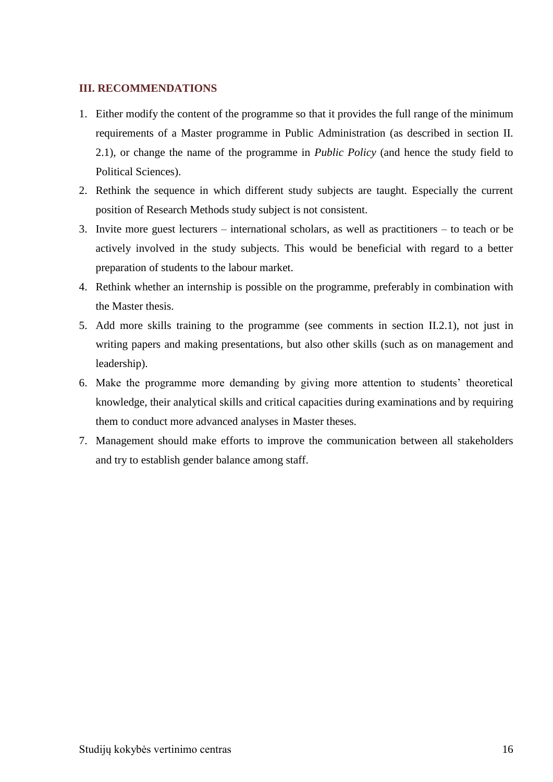#### <span id="page-15-0"></span>**III. RECOMMENDATIONS**

- 1. Either modify the content of the programme so that it provides the full range of the minimum requirements of a Master programme in Public Administration (as described in section II. 2.1), or change the name of the programme in *Public Policy* (and hence the study field to Political Sciences).
- 2. Rethink the sequence in which different study subjects are taught. Especially the current position of Research Methods study subject is not consistent.
- 3. Invite more guest lecturers international scholars, as well as practitioners to teach or be actively involved in the study subjects. This would be beneficial with regard to a better preparation of students to the labour market.
- 4. Rethink whether an internship is possible on the programme, preferably in combination with the Master thesis.
- 5. Add more skills training to the programme (see comments in section II.2.1), not just in writing papers and making presentations, but also other skills (such as on management and leadership).
- 6. Make the programme more demanding by giving more attention to students' theoretical knowledge, their analytical skills and critical capacities during examinations and by requiring them to conduct more advanced analyses in Master theses.
- 7. Management should make efforts to improve the communication between all stakeholders and try to establish gender balance among staff.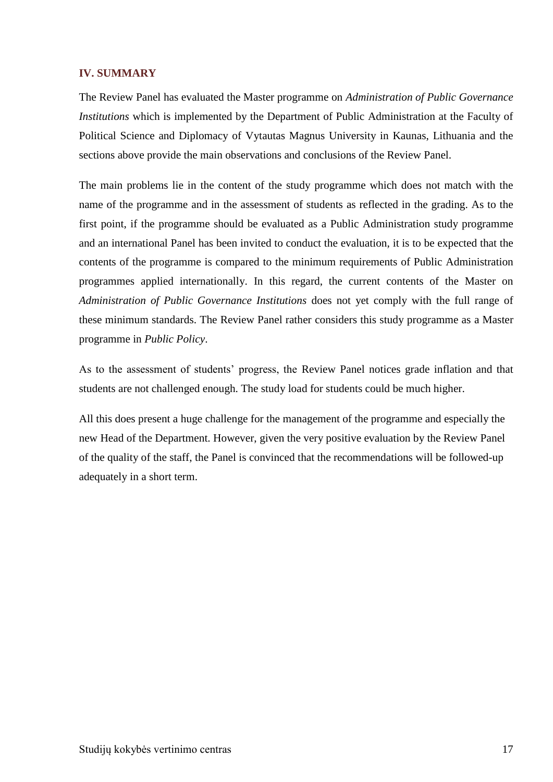#### <span id="page-16-0"></span>**IV. SUMMARY**

The Review Panel has evaluated the Master programme on *Administration of Public Governance Institutions* which is implemented by the Department of Public Administration at the Faculty of Political Science and Diplomacy of Vytautas Magnus University in Kaunas, Lithuania and the sections above provide the main observations and conclusions of the Review Panel.

The main problems lie in the content of the study programme which does not match with the name of the programme and in the assessment of students as reflected in the grading. As to the first point, if the programme should be evaluated as a Public Administration study programme and an international Panel has been invited to conduct the evaluation, it is to be expected that the contents of the programme is compared to the minimum requirements of Public Administration programmes applied internationally. In this regard, the current contents of the Master on *Administration of Public Governance Institutions* does not yet comply with the full range of these minimum standards. The Review Panel rather considers this study programme as a Master programme in *Public Policy*.

As to the assessment of students' progress, the Review Panel notices grade inflation and that students are not challenged enough. The study load for students could be much higher.

<span id="page-16-1"></span>All this does present a huge challenge for the management of the programme and especially the new Head of the Department. However, given the very positive evaluation by the Review Panel of the quality of the staff, the Panel is convinced that the recommendations will be followed-up adequately in a short term.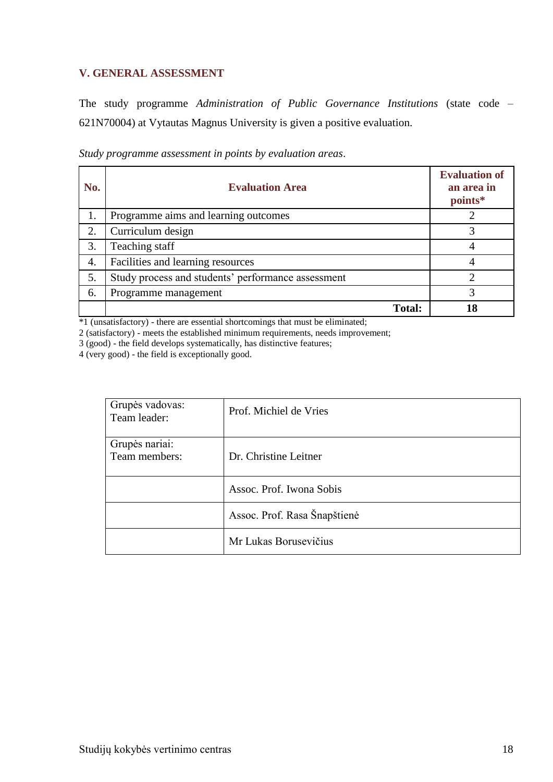## **V. GENERAL ASSESSMENT**

The study programme *Administration of Public Governance Institutions* (state code – 621N70004) at Vytautas Magnus University is given a positive evaluation.

| Study programme assessment in points by evaluation areas. |  |  |  |
|-----------------------------------------------------------|--|--|--|
|                                                           |  |  |  |

| No. | <b>Evaluation Area</b>                             | <b>Evaluation of</b><br>an area in<br>points* |
|-----|----------------------------------------------------|-----------------------------------------------|
| 1.  | Programme aims and learning outcomes               |                                               |
| 2.  | Curriculum design                                  | 3                                             |
| 3.  | Teaching staff                                     | 4                                             |
| 4.  | Facilities and learning resources                  |                                               |
| 5.  | Study process and students' performance assessment |                                               |
| 6.  | Programme management                               |                                               |
|     | <b>Total:</b>                                      | 8ا                                            |

\*1 (unsatisfactory) - there are essential shortcomings that must be eliminated;

2 (satisfactory) - meets the established minimum requirements, needs improvement;

3 (good) - the field develops systematically, has distinctive features;

4 (very good) - the field is exceptionally good.

| Grupės vadovas:<br>Team leader: | Prof. Michiel de Vries       |
|---------------------------------|------------------------------|
| Grupės nariai:                  |                              |
| Team members:                   | Dr. Christine Leitner        |
|                                 | Assoc. Prof. Iwona Sobis     |
|                                 | Assoc. Prof. Rasa Šnapštienė |
|                                 | Mr Lukas Borusevičius        |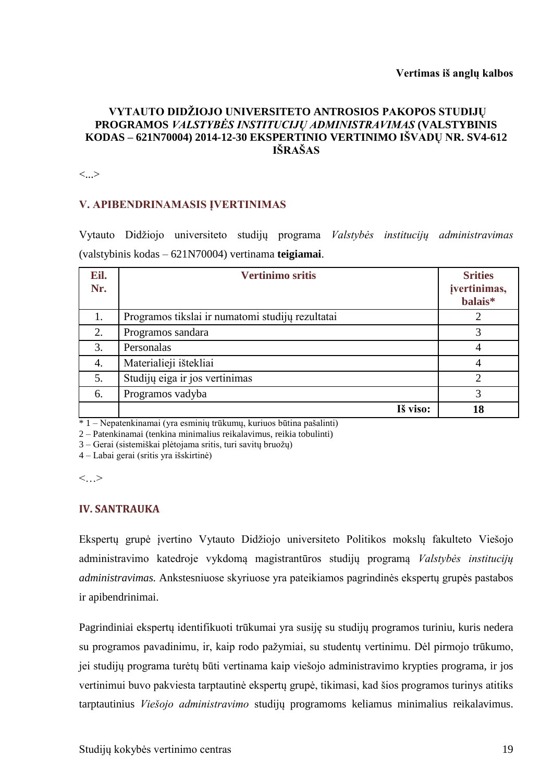### **VYTAUTO DIDŽIOJO UNIVERSITETO ANTROSIOS PAKOPOS STUDIJŲ PROGRAMOS** *VALSTYBĖS INSTITUCIJŲ ADMINISTRAVIMAS* **(VALSTYBINIS KODAS – 621N70004) 2014-12-30 EKSPERTINIO VERTINIMO IŠVADŲ NR. SV4-612 IŠRAŠAS**

<...>

#### **V. APIBENDRINAMASIS ĮVERTINIMAS**

Vytauto Didžiojo universiteto studijų programa *Valstybės institucijų administravimas* (valstybinis kodas – 621N70004) vertinama **teigiamai**.

| Eil.<br>Nr. | <b>Vertinimo sritis</b>                          | <b>Srities</b><br>įvertinimas,<br>balais* |
|-------------|--------------------------------------------------|-------------------------------------------|
| 1.          | Programos tikslai ir numatomi studijų rezultatai |                                           |
| 2.          | Programos sandara                                |                                           |
| 3.          | Personalas                                       |                                           |
| 4.          | Materialieji ištekliai                           |                                           |
| 5.          | Studijų eiga ir jos vertinimas                   | ↑                                         |
| 6.          | Programos vadyba                                 | 3                                         |
|             | Iš viso:                                         | 18                                        |

\* 1 – Nepatenkinamai (yra esminių trūkumų, kuriuos būtina pašalinti)

2 – Patenkinamai (tenkina minimalius reikalavimus, reikia tobulinti)

3 – Gerai (sistemiškai plėtojama sritis, turi savitų bruožų)

4 – Labai gerai (sritis yra išskirtinė)

<…>

#### **IV. SANTRAUKA**

Ekspertų grupė įvertino Vytauto Didžiojo universiteto Politikos mokslų fakulteto Viešojo administravimo katedroje vykdomą magistrantūros studijų programą *Valstybės institucijų administravimas.* Ankstesniuose skyriuose yra pateikiamos pagrindinės ekspertų grupės pastabos ir apibendrinimai.

Pagrindiniai ekspertų identifikuoti trūkumai yra susiję su studijų programos turiniu, kuris nedera su programos pavadinimu, ir, kaip rodo pažymiai, su studentų vertinimu. Dėl pirmojo trūkumo, jei studijų programa turėtų būti vertinama kaip viešojo administravimo krypties programa, ir jos vertinimui buvo pakviesta tarptautinė ekspertų grupė, tikimasi, kad šios programos turinys atitiks tarptautinius *Viešojo administravimo* studijų programoms keliamus minimalius reikalavimus.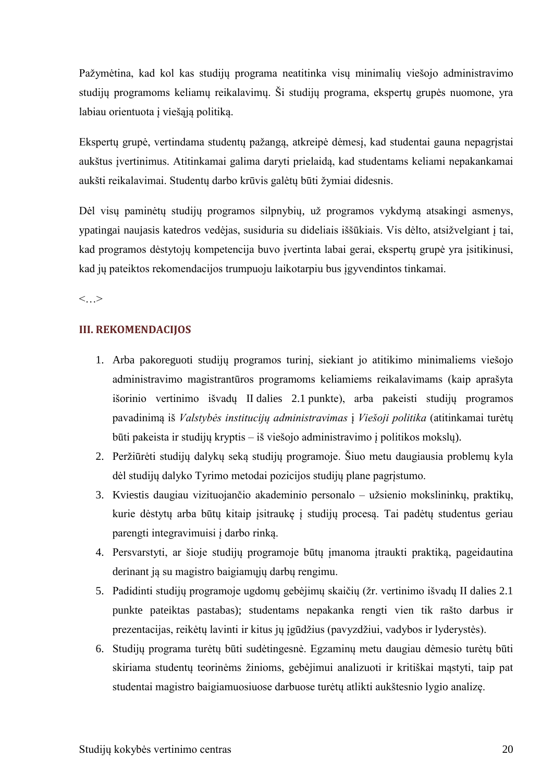Pažymėtina, kad kol kas studijų programa neatitinka visų minimalių viešojo administravimo studijų programoms keliamų reikalavimų. Ši studijų programa, ekspertų grupės nuomone, yra labiau orientuota į viešąją politiką.

Ekspertų grupė, vertindama studentų pažangą, atkreipė dėmesį, kad studentai gauna nepagrįstai aukštus įvertinimus. Atitinkamai galima daryti prielaidą, kad studentams keliami nepakankamai aukšti reikalavimai. Studentų darbo krūvis galėtų būti žymiai didesnis.

Dėl visų paminėtų studijų programos silpnybių, už programos vykdymą atsakingi asmenys, ypatingai naujasis katedros vedėjas, susiduria su dideliais iššūkiais. Vis dėlto, atsižvelgiant į tai, kad programos dėstytojų kompetencija buvo įvertinta labai gerai, ekspertų grupė yra įsitikinusi, kad jų pateiktos rekomendacijos trumpuoju laikotarpiu bus įgyvendintos tinkamai.

<…>

## **III. REKOMENDACIJOS**

- 1. Arba pakoreguoti studijų programos turinį, siekiant jo atitikimo minimaliems viešojo administravimo magistrantūros programoms keliamiems reikalavimams (kaip aprašyta išorinio vertinimo išvadų II dalies 2.1 punkte), arba pakeisti studijų programos pavadinimą iš *Valstybės institucijų administravimas* į *Viešoji politika* (atitinkamai turėtų būti pakeista ir studijų kryptis – iš viešojo administravimo į politikos mokslų).
- 2. Peržiūrėti studijų dalykų seką studijų programoje. Šiuo metu daugiausia problemų kyla dėl studijų dalyko Tyrimo metodai pozicijos studijų plane pagrįstumo.
- 3. Kviestis daugiau vizituojančio akademinio personalo užsienio mokslininkų, praktikų, kurie dėstytų arba būtų kitaip įsitraukę į studijų procesą. Tai padėtų studentus geriau parengti integravimuisi į darbo rinką.
- 4. Persvarstyti, ar šioje studijų programoje būtų įmanoma įtraukti praktiką, pageidautina derinant ją su magistro baigiamųjų darbų rengimu.
- 5. Padidinti studijų programoje ugdomų gebėjimų skaičių (žr. vertinimo išvadų II dalies 2.1 punkte pateiktas pastabas); studentams nepakanka rengti vien tik rašto darbus ir prezentacijas, reikėtų lavinti ir kitus jų įgūdžius (pavyzdžiui, vadybos ir lyderystės).
- 6. Studijų programa turėtų būti sudėtingesnė. Egzaminų metu daugiau dėmesio turėtų būti skiriama studentų teorinėms žinioms, gebėjimui analizuoti ir kritiškai mąstyti, taip pat studentai magistro baigiamuosiuose darbuose turėtų atlikti aukštesnio lygio analizę.